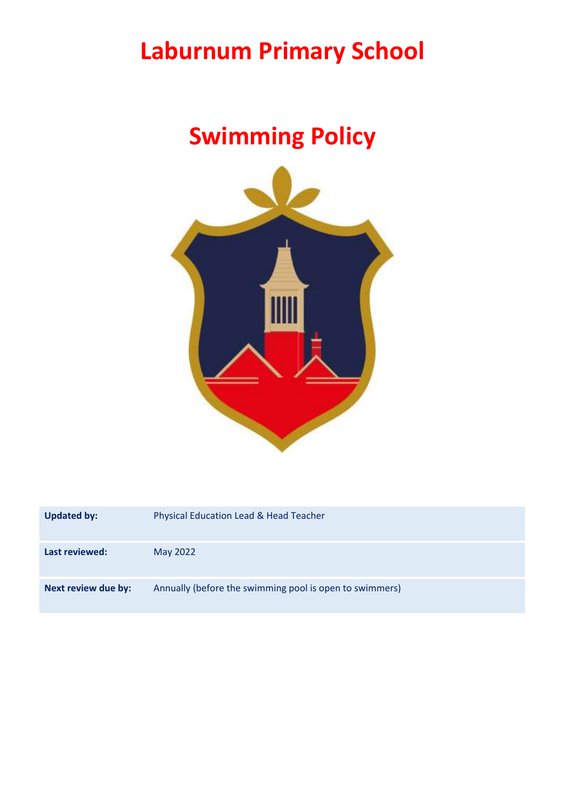# **Laburnum Primary School**

# **Swimming Policy**



| <b>Updated by:</b>  | Physical Education Lead & Head Teacher                  |
|---------------------|---------------------------------------------------------|
| Last reviewed:      | May 2022                                                |
| Next review due by: | Annually (before the swimming pool is open to swimmers) |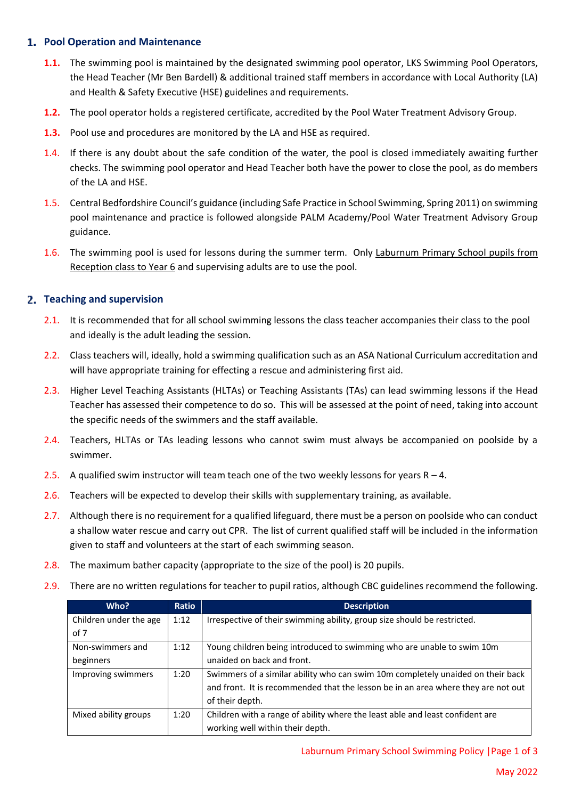## **Pool Operation and Maintenance**

- **1.1.** The swimming pool is maintained by the designated swimming pool operator, LKS Swimming Pool Operators, the Head Teacher (Mr Ben Bardell) & additional trained staff members in accordance with Local Authority (LA) and Health & Safety Executive (HSE) guidelines and requirements.
- **1.2.** The pool operator holds a registered certificate, accredited by the Pool Water Treatment Advisory Group.
- **1.3.** Pool use and procedures are monitored by the LA and HSE as required.
- 1.4. If there is any doubt about the safe condition of the water, the pool is closed immediately awaiting further checks. The swimming pool operator and Head Teacher both have the power to close the pool, as do members of the LA and HSE.
- 1.5. Central Bedfordshire Council's guidance (including Safe Practice in School Swimming, Spring 2011) on swimming pool maintenance and practice is followed alongside PALM Academy/Pool Water Treatment Advisory Group guidance.
- 1.6. The swimming pool is used for lessons during the summer term. Only Laburnum Primary School pupils from Reception class to Year 6 and supervising adults are to use the pool.

#### **Teaching and supervision**

- 2.1. It is recommended that for all school swimming lessons the class teacher accompanies their class to the pool and ideally is the adult leading the session.
- 2.2. Class teachers will, ideally, hold a swimming qualification such as an ASA National Curriculum accreditation and will have appropriate training for effecting a rescue and administering first aid.
- 2.3. Higher Level Teaching Assistants (HLTAs) or Teaching Assistants (TAs) can lead swimming lessons if the Head Teacher has assessed their competence to do so. This will be assessed at the point of need, taking into account the specific needs of the swimmers and the staff available.
- 2.4. Teachers, HLTAs or TAs leading lessons who cannot swim must always be accompanied on poolside by a swimmer.
- 2.5. A qualified swim instructor will team teach one of the two weekly lessons for years  $R 4$ .
- 2.6. Teachers will be expected to develop their skills with supplementary training, as available.
- 2.7. Although there is no requirement for a qualified lifeguard, there must be a person on poolside who can conduct a shallow water rescue and carry out CPR. The list of current qualified staff will be included in the information given to staff and volunteers at the start of each swimming season.
- 2.8. The maximum bather capacity (appropriate to the size of the pool) is 20 pupils.
- 2.9. There are no written regulations for teacher to pupil ratios, although CBC guidelines recommend the following.

| Who?                   | Ratio | <b>Description</b>                                                                |
|------------------------|-------|-----------------------------------------------------------------------------------|
| Children under the age | 1:12  | Irrespective of their swimming ability, group size should be restricted.          |
| of 7                   |       |                                                                                   |
| Non-swimmers and       | 1:12  | Young children being introduced to swimming who are unable to swim 10m            |
| beginners              |       | unaided on back and front.                                                        |
| Improving swimmers     | 1:20  | Swimmers of a similar ability who can swim 10m completely unaided on their back   |
|                        |       | and front. It is recommended that the lesson be in an area where they are not out |
|                        |       | of their depth.                                                                   |
| Mixed ability groups   | 1:20  | Children with a range of ability where the least able and least confident are     |
|                        |       | working well within their depth.                                                  |

#### Laburnum Primary School Swimming Policy |Page 1 of 3